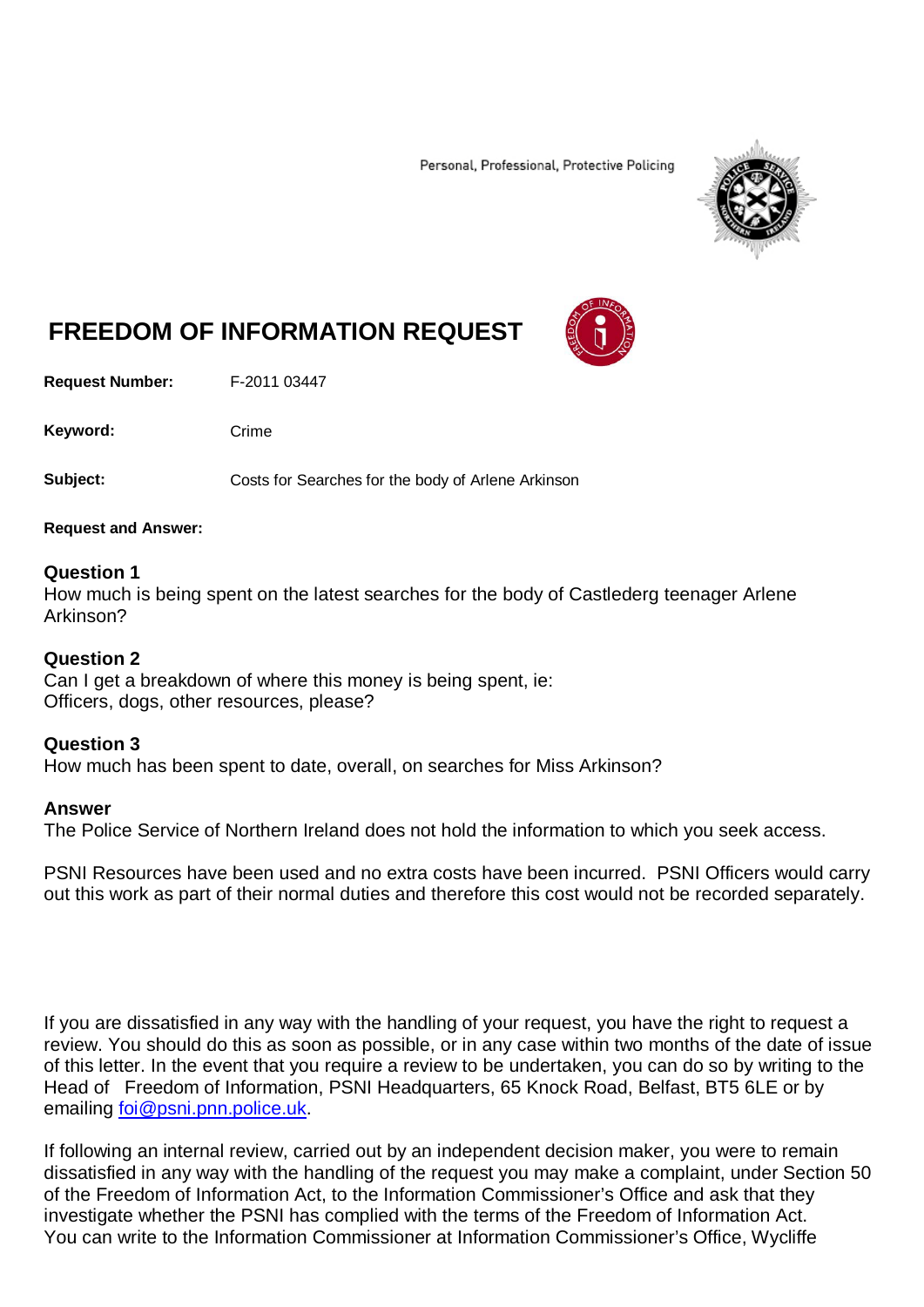Personal, Professional, Protective Policing



# **FREEDOM OF INFORMATION REQUEST**

**Request Number:** F-2011 03447

Keyword: Crime

**Subject:** Costs for Searches for the body of Arlene Arkinson

### **Request and Answer:**

## **Question 1**

How much is being spent on the latest searches for the body of Castlederg teenager Arlene Arkinson?

## **Question 2**

Can I get a breakdown of where this money is being spent, ie: Officers, dogs, other resources, please?

## **Question 3**

How much has been spent to date, overall, on searches for Miss Arkinson?

## **Answer**

The Police Service of Northern Ireland does not hold the information to which you seek access.

PSNI Resources have been used and no extra costs have been incurred. PSNI Officers would carry out this work as part of their normal duties and therefore this cost would not be recorded separately.

If you are dissatisfied in any way with the handling of your request, you have the right to request a review. You should do this as soon as possible, or in any case within two months of the date of issue of this letter. In the event that you require a review to be undertaken, you can do so by writing to the Head of Freedom of Information, PSNI Headquarters, 65 Knock Road, Belfast, BT5 6LE or by emailing [foi@psni.pnn.police.uk.](mailto:foi@psni.pnn.police.uk)

If following an internal review, carried out by an independent decision maker, you were to remain dissatisfied in any way with the handling of the request you may make a complaint, under Section 50 of the Freedom of Information Act, to the Information Commissioner's Office and ask that they investigate whether the PSNI has complied with the terms of the Freedom of Information Act. You can write to the Information Commissioner at Information Commissioner's Office, Wycliffe